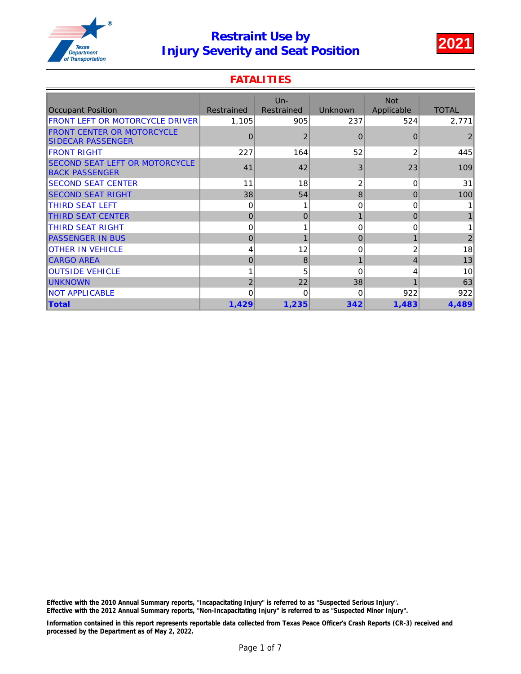

### **FATALITIES**

| <b>Occupant Position</b>                                       | Restrained | $Un -$<br>Restrained | <b>Unknown</b> | <b>Not</b><br>Applicable | <b>TOTAL</b>   |
|----------------------------------------------------------------|------------|----------------------|----------------|--------------------------|----------------|
| <b>FRONT LEFT OR MOTORCYCLE DRIVER</b>                         | 1,105      | 905                  | 237            | 524                      | 2,771          |
| <b>FRONT CENTER OR MOTORCYCLE</b><br><b>ISIDECAR PASSENGER</b> | $\Omega$   | $\overline{2}$       | $\Omega$       | $\Omega$                 |                |
| <b>FRONT RIGHT</b>                                             | 227        | 164                  | 52             | 2                        | 445            |
| <b>SECOND SEAT LEFT OR MOTORCYCLE</b><br><b>BACK PASSENGER</b> | 41         | 42                   | 3              | 23                       | 109            |
| <b>ISECOND SEAT CENTER</b>                                     | 11         | 18                   | 2              | $\Omega$                 | 31             |
| <b>SECOND SEAT RIGHT</b>                                       | 38         | 54                   | 8              | $\Omega$                 | 100            |
| ITHIRD SEAT LEFT                                               | 0          |                      | 0              | 0                        |                |
| <b>THIRD SEAT CENTER</b>                                       | $\Omega$   | $\overline{0}$       |                | $\Omega$                 |                |
| ITHIRD SEAT RIGHT                                              | $\Omega$   |                      | 0              | 0                        |                |
| <b>PASSENGER IN BUS</b>                                        | $\Omega$   | 1                    | 0              |                          | $\overline{2}$ |
| <b>IOTHER IN VEHICLE</b>                                       | 4          | 12                   | 0              | 2                        | 18             |
| <b>CARGO AREA</b>                                              | $\Omega$   | 8                    |                | 4                        | 13             |
| <b>IOUTSIDE VEHICLE</b>                                        |            | 5                    | $\Omega$       | 4                        | 10             |
| <b>UNKNOWN</b>                                                 | 2          | 22                   | 38             |                          | 63             |
| <b>INOT APPLICABLE</b>                                         | $\Omega$   | $\Omega$             | 0              | 922                      | 922            |
| <b>Total</b>                                                   | 1,429      | 1,235                | 342            | 1,483                    | 4,489          |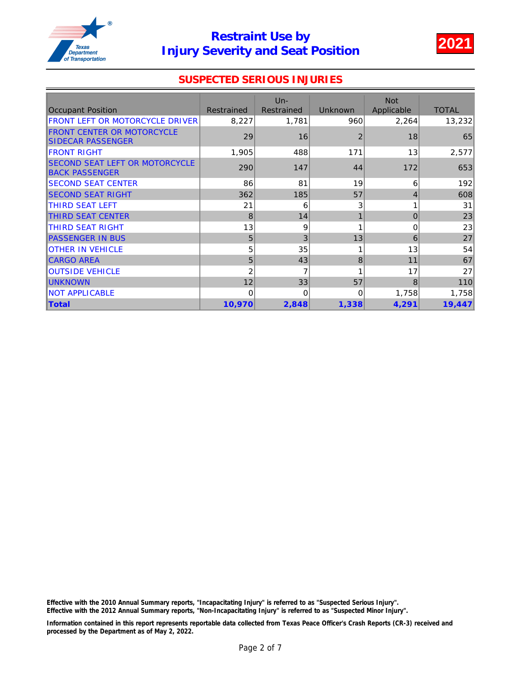

### SUSPECTED SERIOUS INJURIES

|                                                                 |            | $Un -$     |                | <b>Not</b> |              |
|-----------------------------------------------------------------|------------|------------|----------------|------------|--------------|
| <b>Occupant Position</b>                                        | Restrained | Restrained | <b>Unknown</b> | Applicable | <b>TOTAL</b> |
| FRONT LEFT OR MOTORCYCLE DRIVER                                 | 8,227      | 1,781      | 960            | 2,264      | 13,232       |
| <b>FRONT CENTER OR MOTORCYCLE</b><br>SIDECAR PASSENGER          | 29         | 16         | $\overline{2}$ | 18         | 65           |
| <b>IFRONT RIGHT</b>                                             | 1,905      | 488        | 171            | 13         | 2,577        |
| <b>ISECOND SEAT LEFT OR MOTORCYCLE</b><br><b>BACK PASSENGER</b> | 290        | 147        | 44             | 172        | 653          |
| <b>ISECOND SEAT CENTER</b>                                      | 86         | 81         | 19             | 6          | 192          |
| <b>SECOND SEAT RIGHT</b>                                        | 362        | 185        | 57             | 4          | 608          |
| <b>ITHIRD SEAT LEFT</b>                                         | 21         | 6          | 3              |            | 31           |
| <b>THIRD SEAT CENTER</b>                                        | 8          | 14         |                | $\Omega$   | 23           |
| ITHIRD SEAT RIGHT                                               | 13         | 9          |                | 0          | 23           |
| <b>PASSENGER IN BUS</b>                                         | 5          | 3          | 13             | 6          | 27           |
| <b>OTHER IN VEHICLE</b>                                         | 5          | 35         |                | 13         | 54           |
| <b>CARGO AREA</b>                                               | 5          | 43         | 8              | 11         | 67           |
| <b>OUTSIDE VEHICLE</b>                                          | 2          | 7          |                | 17         | 27           |
| <b>IUNKNOWN</b>                                                 | 12         | 33         | 57             | 8          | 110          |
| <b>NOT APPLICABLE</b>                                           | 0          | $\Omega$   | $\Omega$       | 1,758      | 1,758        |
| <b>Total</b>                                                    | 10,970     | 2,848      | 1,338          | 4,291      | 19,447       |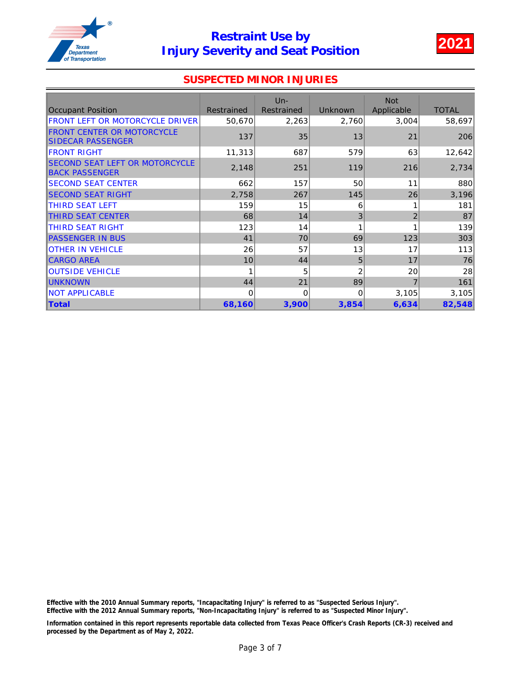

#### SUSPECTED MINOR INJURIES

| <b>Occupant Position</b>                                      | Restrained | $Un -$<br>Restrained | <b>Unknown</b> | <b>Not</b><br>Applicable | <b>TOTAL</b> |
|---------------------------------------------------------------|------------|----------------------|----------------|--------------------------|--------------|
| FRONT LEFT OR MOTORCYCLE DRIVER                               | 50,670     | 2,263                | 2,760          | 3,004                    | 58,697       |
| <b>FRONT CENTER OR MOTORCYCLE</b><br><b>SIDECAR PASSENGER</b> | 137        | 35                   | 13             | 21                       | 206          |
| <b>IFRONT RIGHT</b>                                           | 11,313     | 687                  | 579            | 63                       | 12,642       |
| SECOND SEAT LEFT OR MOTORCYCLE<br><b>BACK PASSENGER</b>       | 2,148      | 251                  | 119            | 216                      | 2,734        |
| <b>ISECOND SEAT CENTER</b>                                    | 662        | 157                  | 50             | 11                       | 880          |
| <b>ISECOND SEAT RIGHT</b>                                     | 2,758      | 267                  | 145            | 26                       | 3,196        |
| <b>ITHIRD SEAT LEFT</b>                                       | 159        | 15                   | 6              |                          | 181          |
| THIRD SEAT CENTER                                             | 68         | 14                   | 3              | $\overline{2}$           | 87           |
| ITHIRD SEAT RIGHT                                             | 123        | 14                   |                |                          | 139          |
| <b>PASSENGER IN BUS</b>                                       | 41         | 70                   | 69             | 123                      | 303          |
| <b>OTHER IN VEHICLE</b>                                       | 26         | 57                   | 13             | 17                       | 113          |
| <b>CARGO AREA</b>                                             | 10         | 44                   | 5              | 17                       | 76           |
| <b>OUTSIDE VEHICLE</b>                                        |            | 5                    | 2              | 20                       | 28           |
| <b>UNKNOWN</b>                                                | 44         | 21                   | 89             |                          | 161          |
| <b>INOT APPLICABLE</b>                                        | $\Omega$   | $\Omega$             | 0              | 3,105                    | 3,105        |
| <b>Total</b>                                                  | 68,160     | 3,900                | 3,854          | 6,634                    | 82,548       |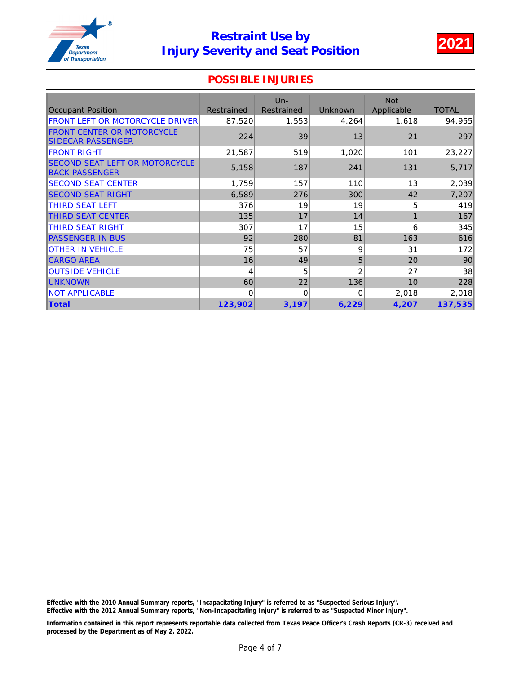

#### POSSIBLE INJURIES

|                                                                |            | $Un -$     |                | <b>Not</b> |              |
|----------------------------------------------------------------|------------|------------|----------------|------------|--------------|
| <b>Occupant Position</b>                                       | Restrained | Restrained | <b>Unknown</b> | Applicable | <b>TOTAL</b> |
| FRONT LEFT OR MOTORCYCLE DRIVER                                | 87,520     | 1,553      | 4,264          | 1,618      | 94,955       |
| <b>FRONT CENTER OR MOTORCYCLE</b><br><b>ISIDECAR PASSENGER</b> | 224        | 39         | 13             | 21         | 297          |
| <b>IFRONT RIGHT</b>                                            | 21,587     | 519        | 1,020          | 101        | 23,227       |
| SECOND SEAT LEFT OR MOTORCYCLE<br><b>BACK PASSENGER</b>        | 5,158      | 187        | 241            | 131        | 5,717        |
| <b>SECOND SEAT CENTER</b>                                      | 1,759      | 157        | 110            | 13         | 2,039        |
| <b>ISECOND SEAT RIGHT</b>                                      | 6,589      | 276        | 300            | 42         | 7,207        |
| <b>ITHIRD SEAT LEFT</b>                                        | 376        | 19         | 19             | 5          | 419          |
| <b>THIRD SEAT CENTER</b>                                       | 135        | 17         | 14             |            | 167          |
| <b>THIRD SEAT RIGHT</b>                                        | 307        | 17         | 15             | 6          | 345          |
| <b>PASSENGER IN BUS</b>                                        | 92         | 280        | 81             | 163        | 616          |
| <b>OTHER IN VEHICLE</b>                                        | 75         | 57         | 9              | 31         | 172          |
| <b>CARGO AREA</b>                                              | 16         | 49         | 5              | 20         | 90           |
| <b>OUTSIDE VEHICLE</b>                                         | 4          | 5          | $\overline{2}$ | 27         | 38           |
| <b>IUNKNOWN</b>                                                | 60         | 22         | 136            | 10         | 228          |
| <b>NOT APPLICABLE</b>                                          | $\Omega$   | $\Omega$   | 0              | 2,018      | 2,018        |
| <b>Total</b>                                                   | 123,902    | 3,197      | 6,229          | 4,207      | 137,535      |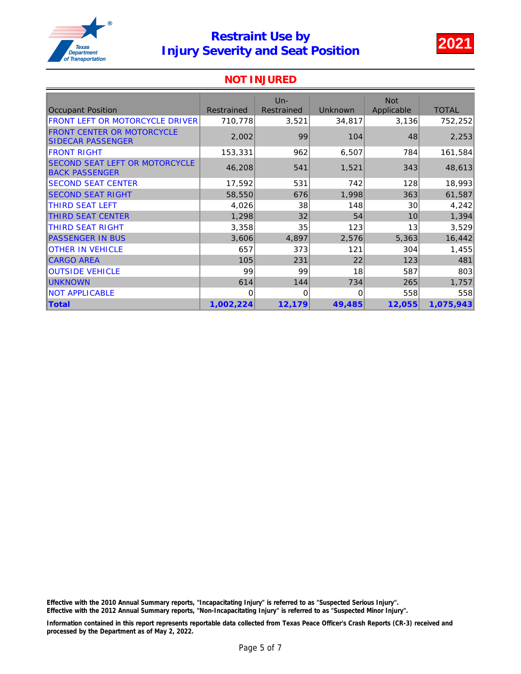

#### NOT INJURED

| <b>Occupant Position</b>                                       | <b>Restrained</b> | Un-<br><b>Restrained</b> | Unknown  | <b>Not</b><br>Applicable | <b>TOTAL</b> |
|----------------------------------------------------------------|-------------------|--------------------------|----------|--------------------------|--------------|
| <b>FRONT LEFT OR MOTORCYCLE DRIVER</b>                         | 710,778           | 3,521                    | 34,817   | 3,136                    | 752,252      |
| <b>FRONT CENTER OR MOTORCYCLE</b><br><b>SIDECAR PASSENGER</b>  | 2,002             | 99                       | 104      | 48                       | 2,253        |
| <b>IFRONT RIGHT</b>                                            | 153,331           | 962                      | 6,507    | 784                      | 161,584      |
| <b>SECOND SEAT LEFT OR MOTORCYCLE</b><br><b>BACK PASSENGER</b> | 46,208            | 541                      | 1,521    | 343                      | 48,613       |
| <b>SECOND SEAT CENTER</b>                                      | 17,592            | 531                      | 742      | 128                      | 18,993       |
| <b>ISECOND SEAT RIGHT</b>                                      | 58,550            | 676                      | 1,998    | 363                      | 61,587       |
| <b>ITHIRD SEAT LEFT</b>                                        | 4,026             | 38                       | 148      | 30                       | 4,242        |
| THIRD SEAT CENTER                                              | 1,298             | 32                       | 54       | 10                       | 1,394        |
| THIRD SEAT RIGHT                                               | 3,358             | 35                       | 123      | 13                       | 3,529        |
| <b>PASSENGER IN BUS</b>                                        | 3,606             | 4,897                    | 2,576    | 5,363                    | 16,442       |
| <b>OTHER IN VEHICLE</b>                                        | 657               | 373                      | 121      | 304                      | 1,455        |
| <b>CARGO AREA</b>                                              | 105               | 231                      | 22       | 123                      | 481          |
| <b>OUTSIDE VEHICLE</b>                                         | 99                | 99                       | 18       | 587                      | 803          |
| <b>UNKNOWN</b>                                                 | 614               | 144                      | 734      | 265                      | 1,757        |
| <b>NOT APPLICABLE</b>                                          | 0                 | $\Omega$                 | $\Omega$ | 558                      | 558          |
| <b>Total</b>                                                   | 1,002,224         | 12,179                   | 49,485   | 12,055                   | 1,075,943    |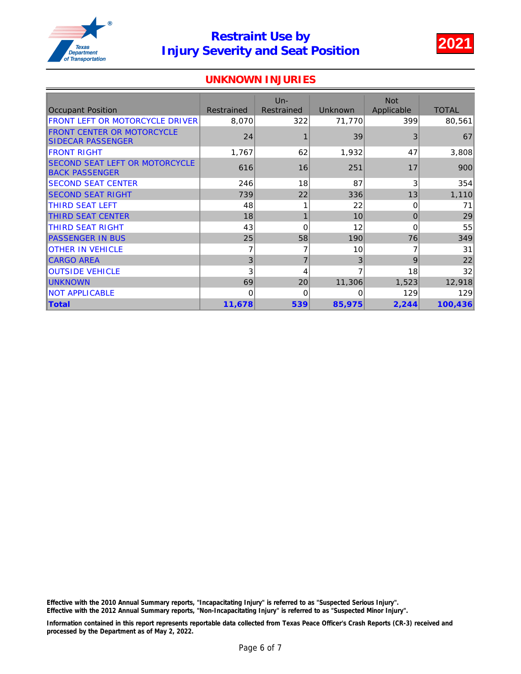

#### UNKNOWN INJURIES

|                                                                |            | $Un -$            |                | <b>Not</b> |              |
|----------------------------------------------------------------|------------|-------------------|----------------|------------|--------------|
| <b>Occupant Position</b>                                       | Restrained | <b>Restrained</b> | <b>Unknown</b> | Applicable | <b>TOTAL</b> |
| FRONT LEFT OR MOTORCYCLE DRIVER                                | 8,070      | 322               | 71,770         | 399        | 80,561       |
| <b>FRONT CENTER OR MOTORCYCLE</b><br>SIDECAR PASSENGER         | 24         |                   | 39             | 3          | 67           |
| <b>IFRONT RIGHT</b>                                            | 1,767      | 62                | 1,932          | 47         | 3,808        |
| <b>SECOND SEAT LEFT OR MOTORCYCLE</b><br><b>BACK PASSENGER</b> | 616        | 16                | 251            | 17         | 900          |
| <b>ISECOND SEAT CENTER</b>                                     | 246        | 18                | 87             | 3          | 354          |
| <b>SECOND SEAT RIGHT</b>                                       | 739        | 22                | 336            | 13         | 1,110        |
| <b>ITHIRD SEAT LEFT</b>                                        | 48         |                   | 22             | 0          | 71           |
| <b>THIRD SEAT CENTER</b>                                       | 18         | $\mathbf{1}$      | 10             | $\Omega$   | 29           |
| ITHIRD SEAT RIGHT                                              | 43         | $\Omega$          | 12             | $\Omega$   | 55           |
| <b>PASSENGER IN BUS</b>                                        | 25         | 58                | 190            | 76         | 349          |
| <b>OTHER IN VEHICLE</b>                                        |            | 7                 | 10             |            | 31           |
| <b>CARGO AREA</b>                                              | 3          | $\overline{7}$    | 3              | 9          | 22           |
| <b>OUTSIDE VEHICLE</b>                                         | 3          | 4                 |                | 18         | 32           |
| <b>IUNKNOWN</b>                                                | 69         | 20                | 11,306         | 1,523      | 12,918       |
| <b>NOT APPLICABLE</b>                                          | 0          | 0                 | 0              | 129        | 129          |
| <b>Total</b>                                                   | 11,678     | 539               | 85,975         | 2,244      | 100,436      |